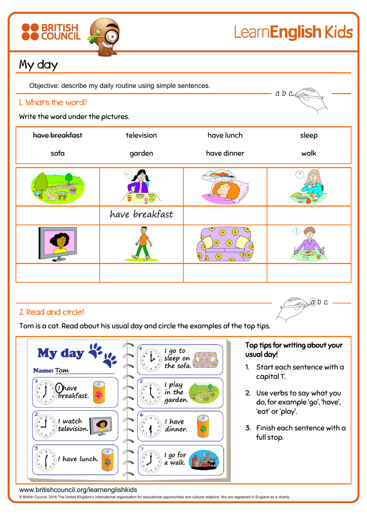

# LearnEnglish Kids

 $ab$   $c$ 

## My day

Objective: describe my daily routine using simple sentences.

#### 1. What's the word?

Write the word under the pictures.

| have breakfast | television     | have lunch  | sleep |
|----------------|----------------|-------------|-------|
| sofa           | garden         | have dinner | walk  |
|                | 三日             |             |       |
|                | have breakfast |             |       |
|                |                | ᡶᢩᢆᢆ<br>702 |       |
|                |                |             |       |

### 2. Read and circle!

Tom is a cat. Read about his usual day and circle the examples of the top tips.



#### Top tips for writing about your usual day!

 $ab$  c

- 1. Start each sentence with a capital 'I'.
- 2. Use verbs to say what you do, for example 'go', 'have', 'eat' or 'play'.
- 3. Finish each sentence with a full stop.

www.britishcouncil.org/learnenglishkids

© British Council, 2016 The United Kingdom's international organisation for educational opportunities and cultural relations. We are registered in England as a charity.